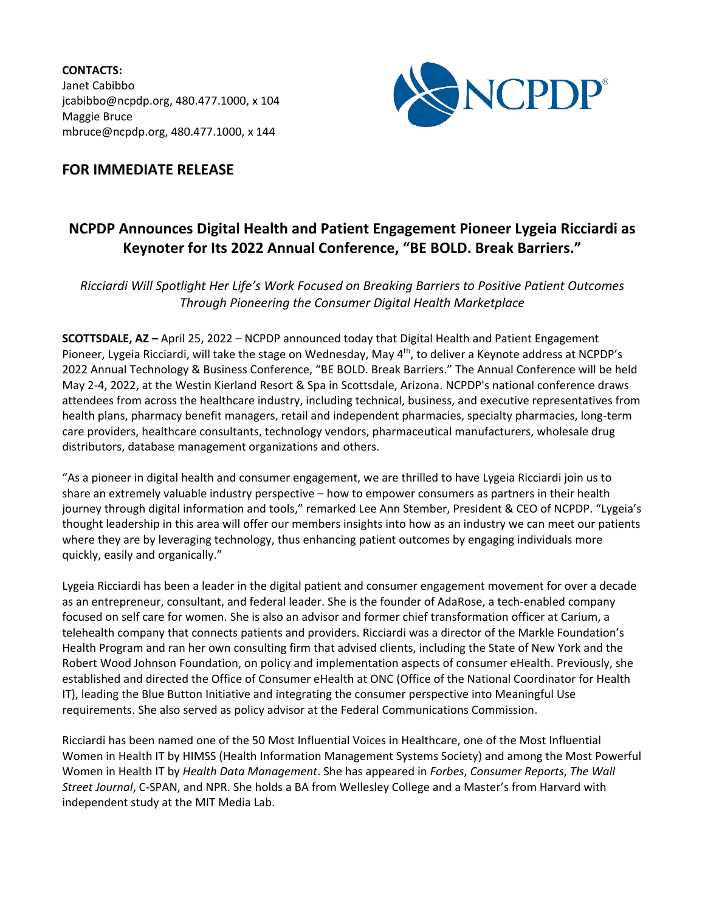**CONTACTS:** Janet Cabibbo jcabibbo@ncpdp.org, 480.477.1000, x 104 Maggie Bruce mbruce@ncpdp.org, 480.477.1000, x 144



## **FOR IMMEDIATE RELEASE**

## **NCPDP Announces Digital Health and Patient Engagement Pioneer Lygeia Ricciardi as Keynoter for Its 2022 Annual Conference, "BE BOLD. Break Barriers."**

*Ricciardi Will Spotlight Her Life's Work Focused on Breaking Barriers to Positive Patient Outcomes Through Pioneering the Consumer Digital Health Marketplace*

**SCOTTSDALE, AZ –** April 25, 2022 – NCPDP announced today that Digital Health and Patient Engagement Pioneer, Lygeia Ricciardi, will take the stage on Wednesday, May 4<sup>th</sup>, to deliver a Keynote address at NCPDP's 2022 Annual Technology & Business Conference, "BE BOLD. Break Barriers." The Annual Conference will be held May 2-4, 2022, at the Westin Kierland Resort & Spa in Scottsdale, Arizona. NCPDP's national conference draws attendees from across the healthcare industry, including technical, business, and executive representatives from health plans, pharmacy benefit managers, retail and independent pharmacies, specialty pharmacies, long-term care providers, healthcare consultants, technology vendors, pharmaceutical manufacturers, wholesale drug distributors, database management organizations and others.

"As a pioneer in digital health and consumer engagement, we are thrilled to have Lygeia Ricciardi join us to share an extremely valuable industry perspective – how to empower consumers as partners in their health journey through digital information and tools," remarked Lee Ann Stember, President & CEO of NCPDP. "Lygeia's thought leadership in this area will offer our members insights into how as an industry we can meet our patients where they are by leveraging technology, thus enhancing patient outcomes by engaging individuals more quickly, easily and organically."

Lygeia Ricciardi has been a leader in the digital patient and consumer engagement movement for over a decade as an entrepreneur, consultant, and federal leader. She is the founder of AdaRose, a tech-enabled company focused on self care for women. She is also an advisor and former chief transformation officer at Carium, a telehealth company that connects patients and providers. Ricciardi was a director of the Markle Foundation's Health Program and ran her own consulting firm that advised clients, including the State of New York and the Robert Wood Johnson Foundation, on policy and implementation aspects of consumer eHealth. Previously, she established and directed the Office of Consumer eHealth at ONC (Office of the National Coordinator for Health IT), leading the Blue Button Initiative and integrating the consumer perspective into Meaningful Use requirements. She also served as policy advisor at the Federal Communications Commission.

Ricciardi has been named one of the 50 Most Influential Voices in Healthcare, one of the Most Influential Women in Health IT by HIMSS (Health Information Management Systems Society) and among the Most Powerful Women in Health IT by *Health Data Management*. She has appeared in *Forbes*, *Consumer Reports*, *The Wall Street Journal*, C-SPAN, and NPR. She holds a BA from Wellesley College and a Master's from Harvard with independent study at the MIT Media Lab.